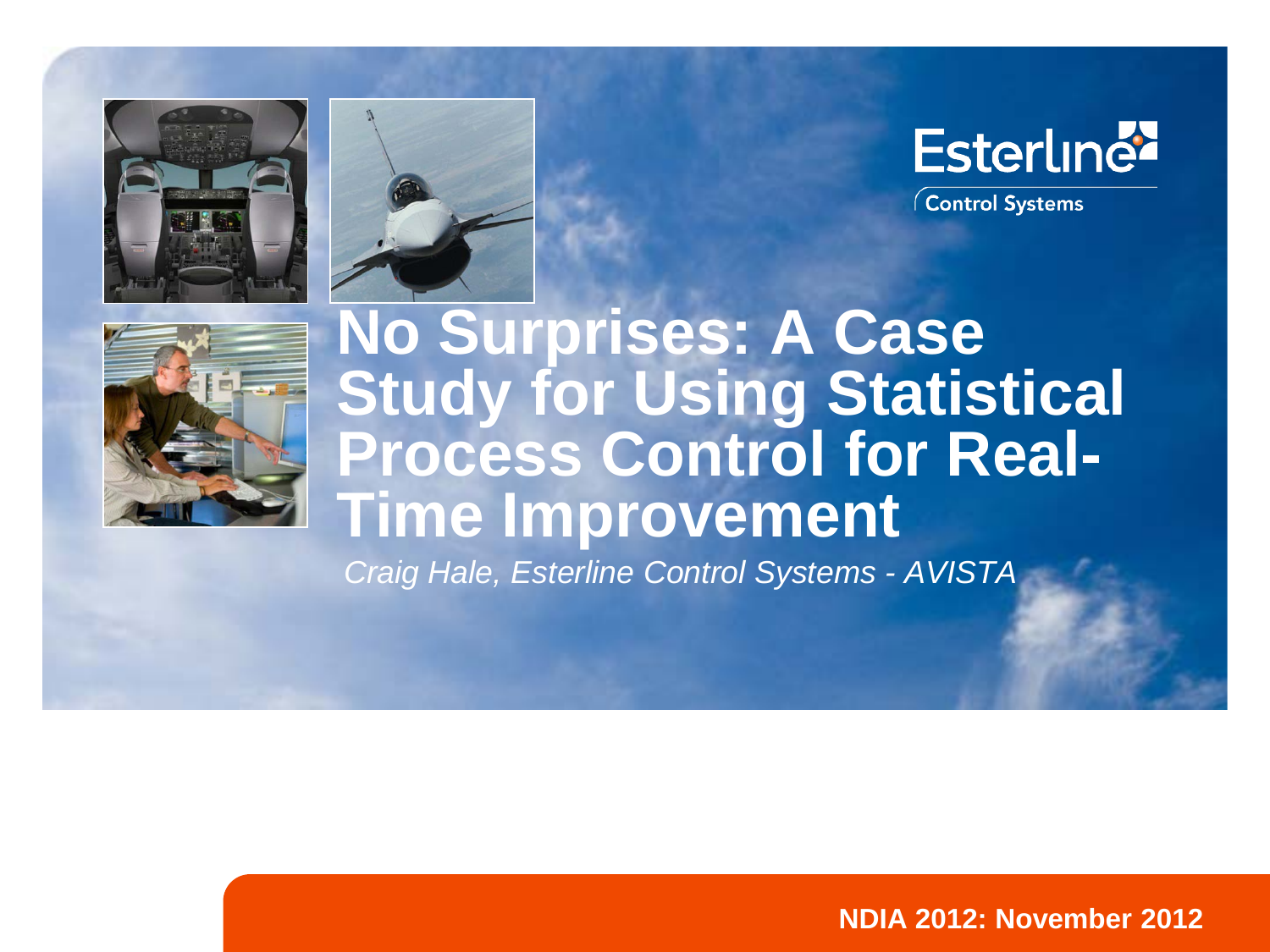





Control Systems



#### **No Surprises: A Case Study for Using Statistical Process Control for Real-Time Improvement**

*Craig Hale, Esterline Control Systems - AVISTA*

**NDIA 2012: November 2012**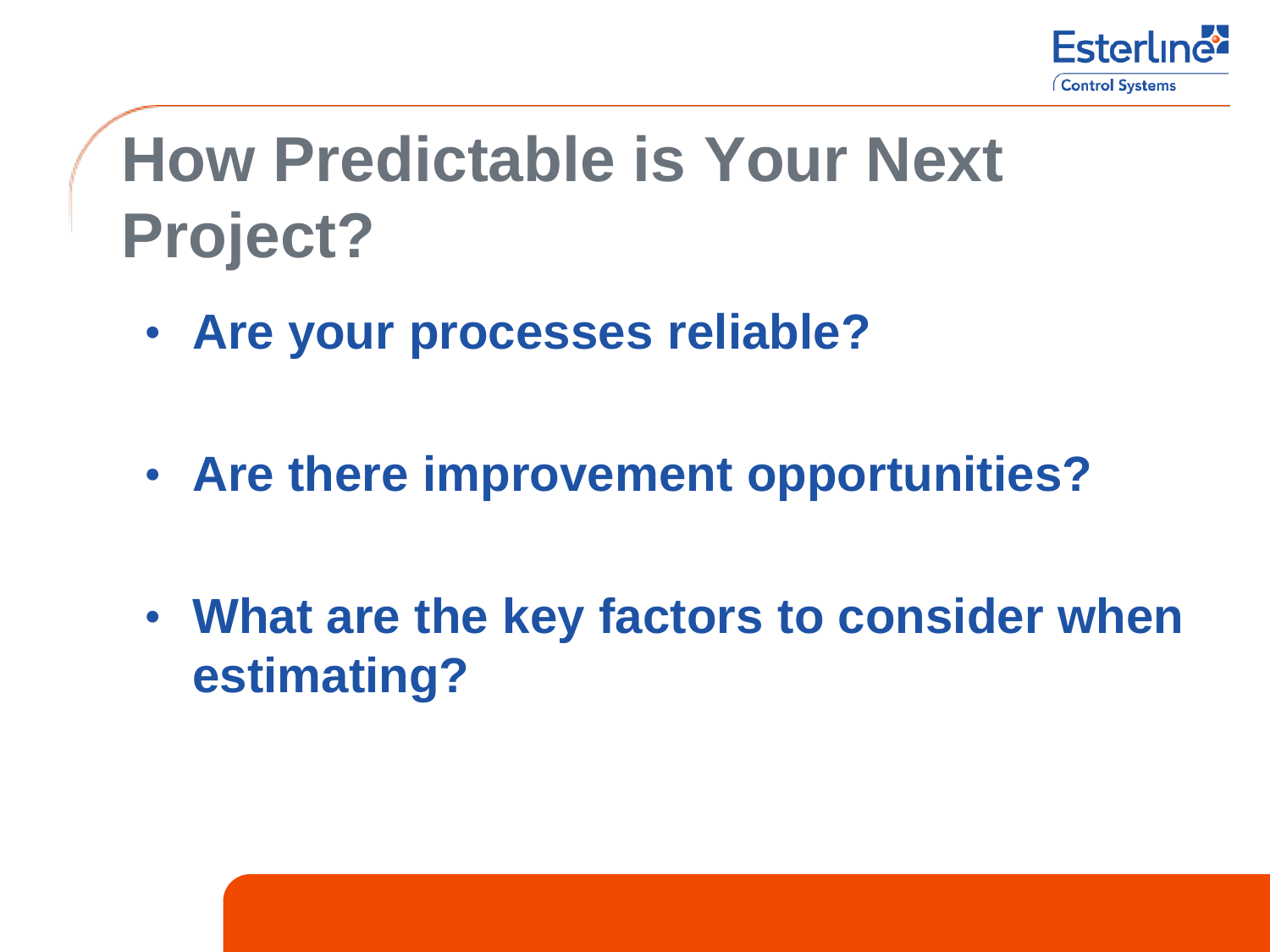

### **How Predictable is Your Next Project?**

• **Are your processes reliable?**

- **Are there improvement opportunities?**
- **What are the key factors to consider when estimating?**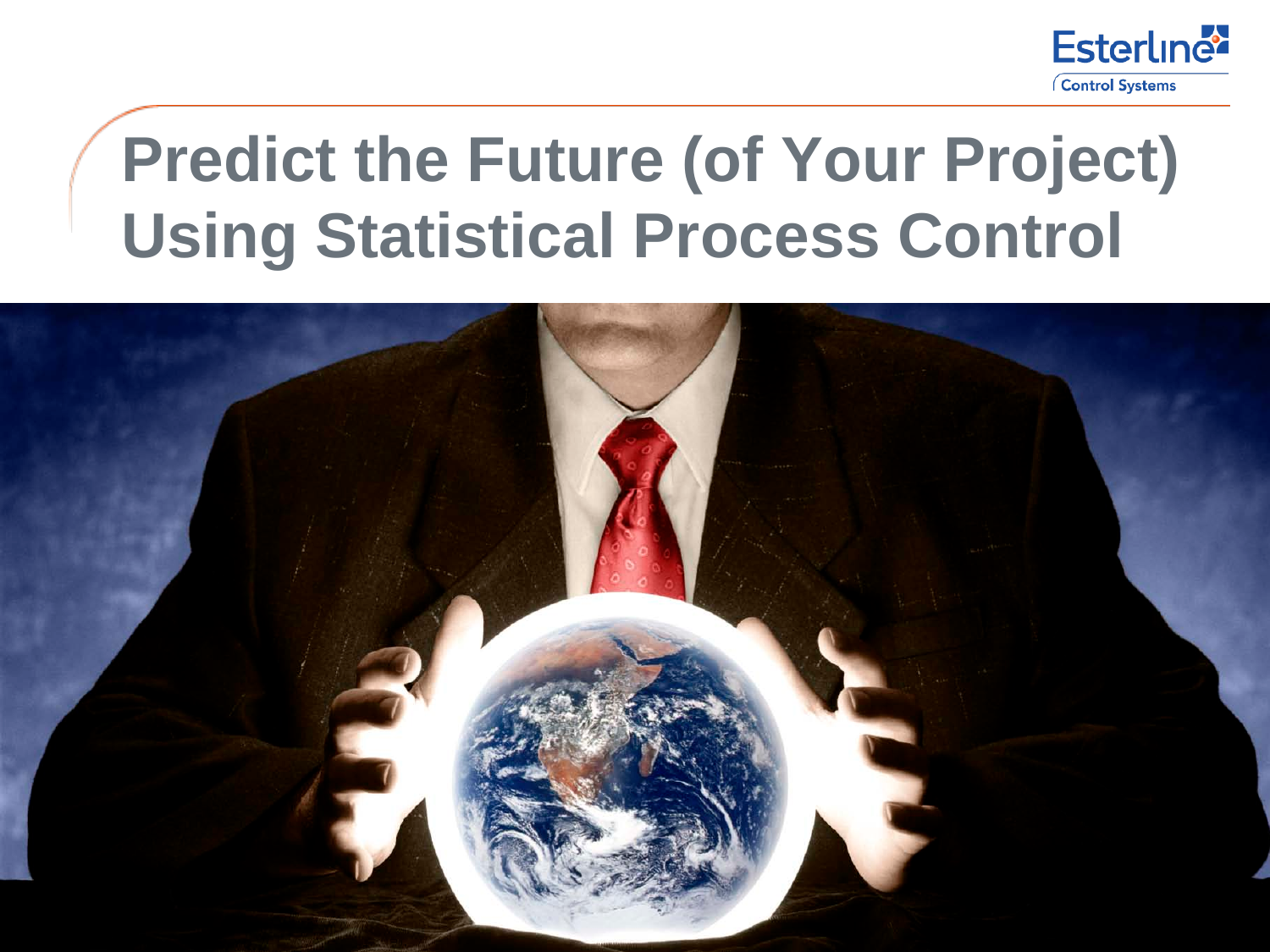

### **Predict the Future (of Your Project) Using Statistical Process Control**

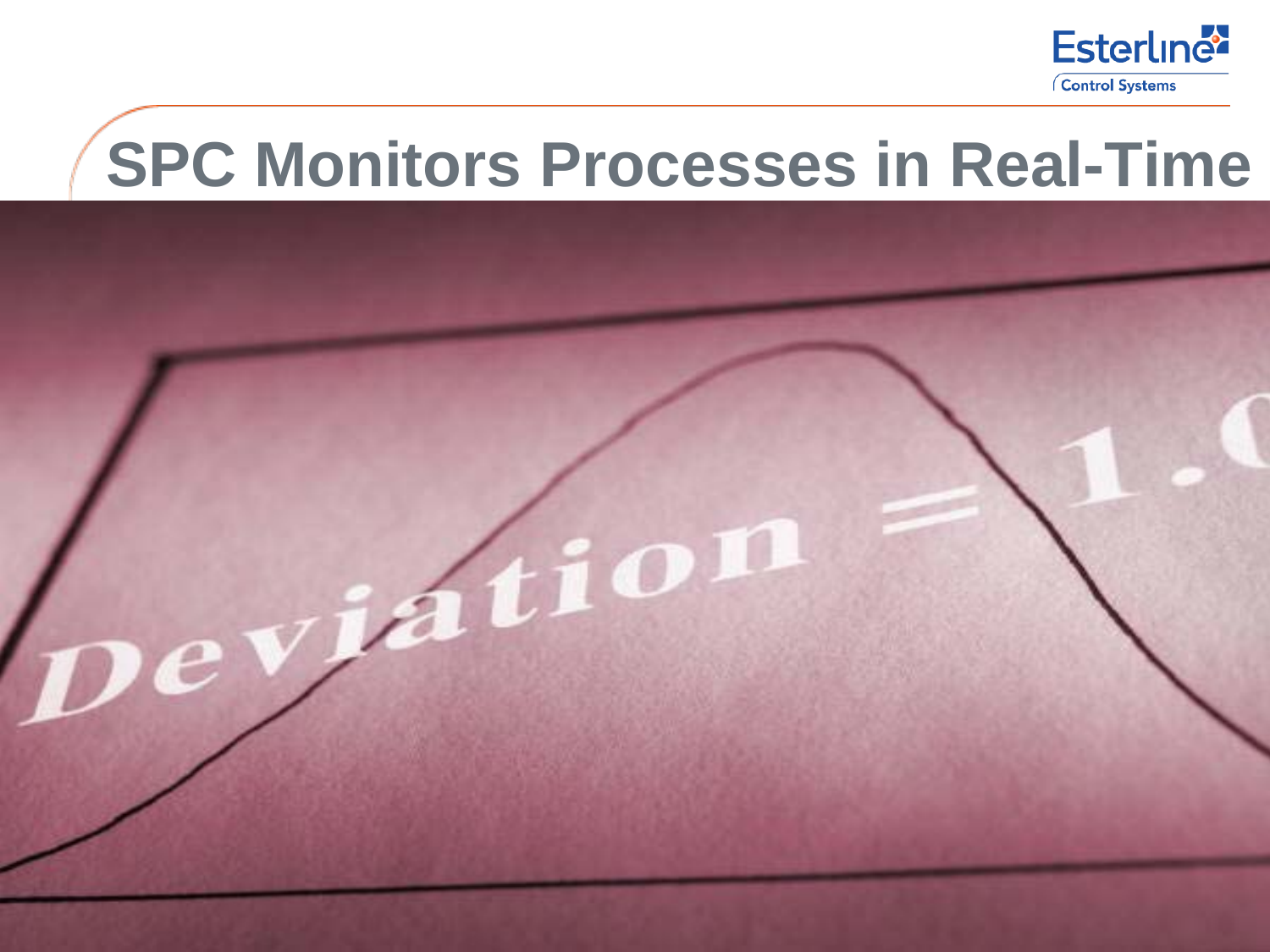

# **SPC Monitors Processes in Real-Time**

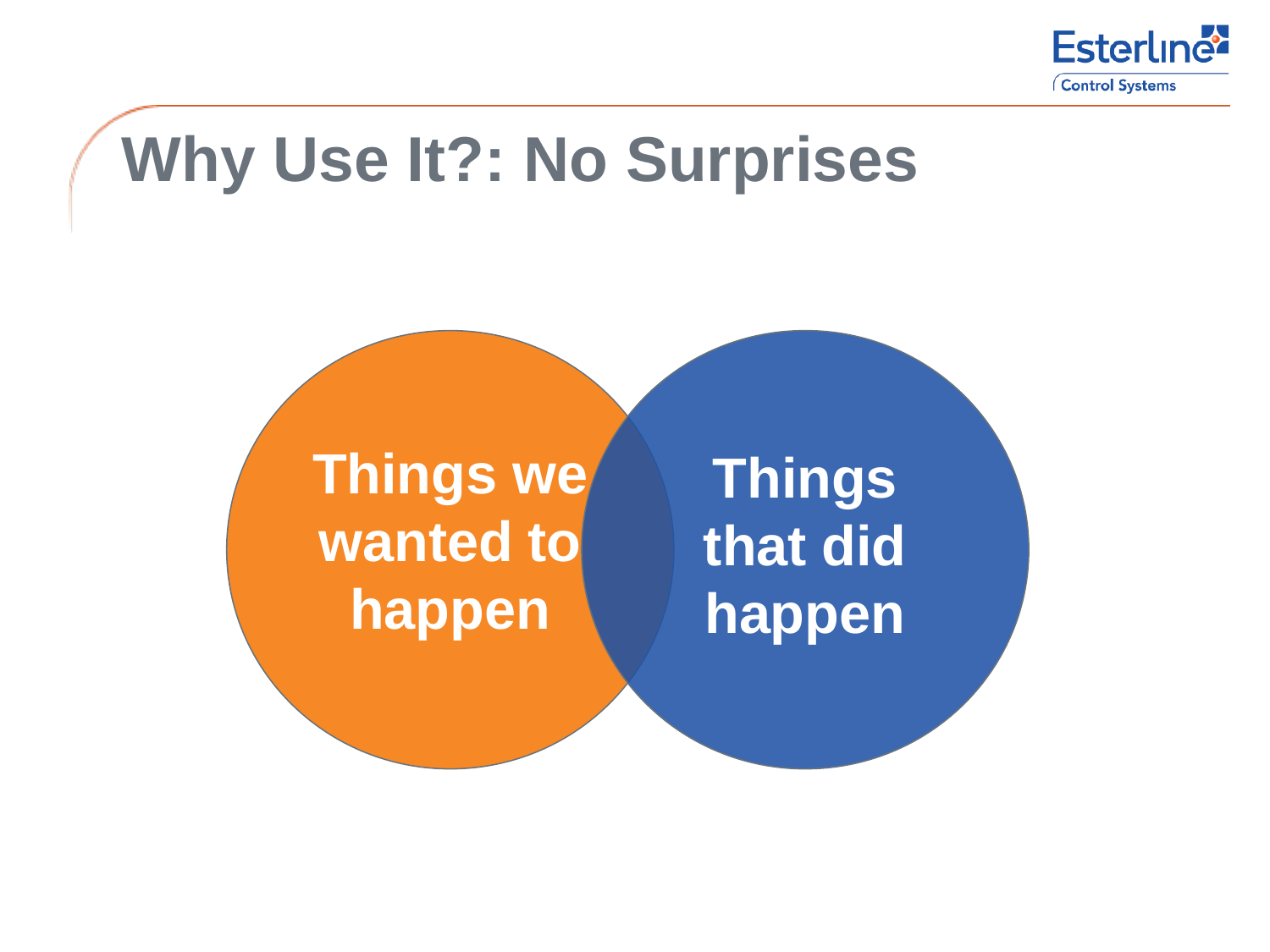

### **Why Use It?: No Surprises**

**Things we wanted to happen**

**Things that did happen**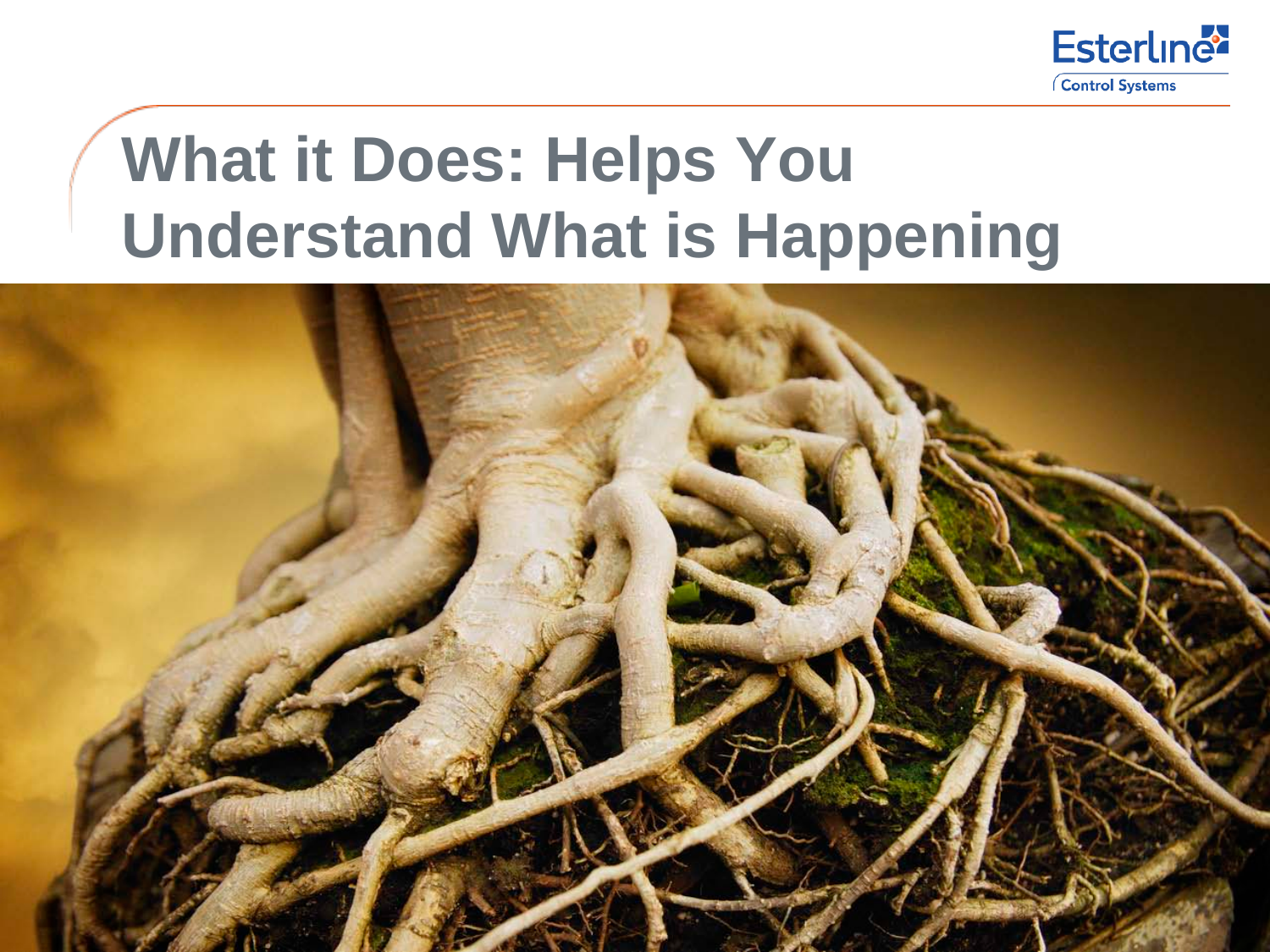

### **What it Does: Helps You Understand What is Happening**

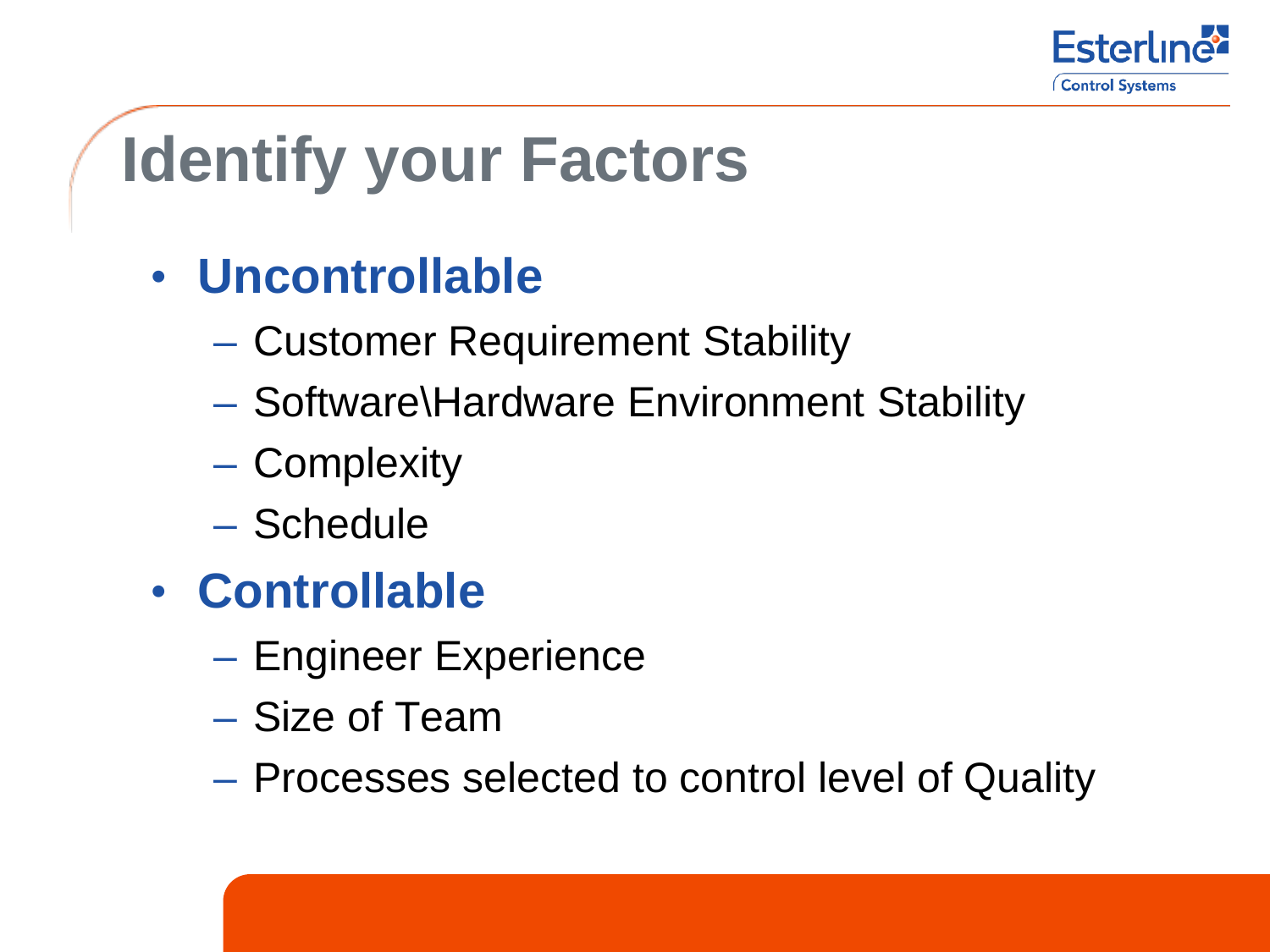

## **Identify your Factors**

- **Uncontrollable**
	- Customer Requirement Stability
	- Software\Hardware Environment Stability
	- Complexity
	- Schedule
- **Controllable**

- Engineer Experience
- Size of Team
- Processes selected to control level of Quality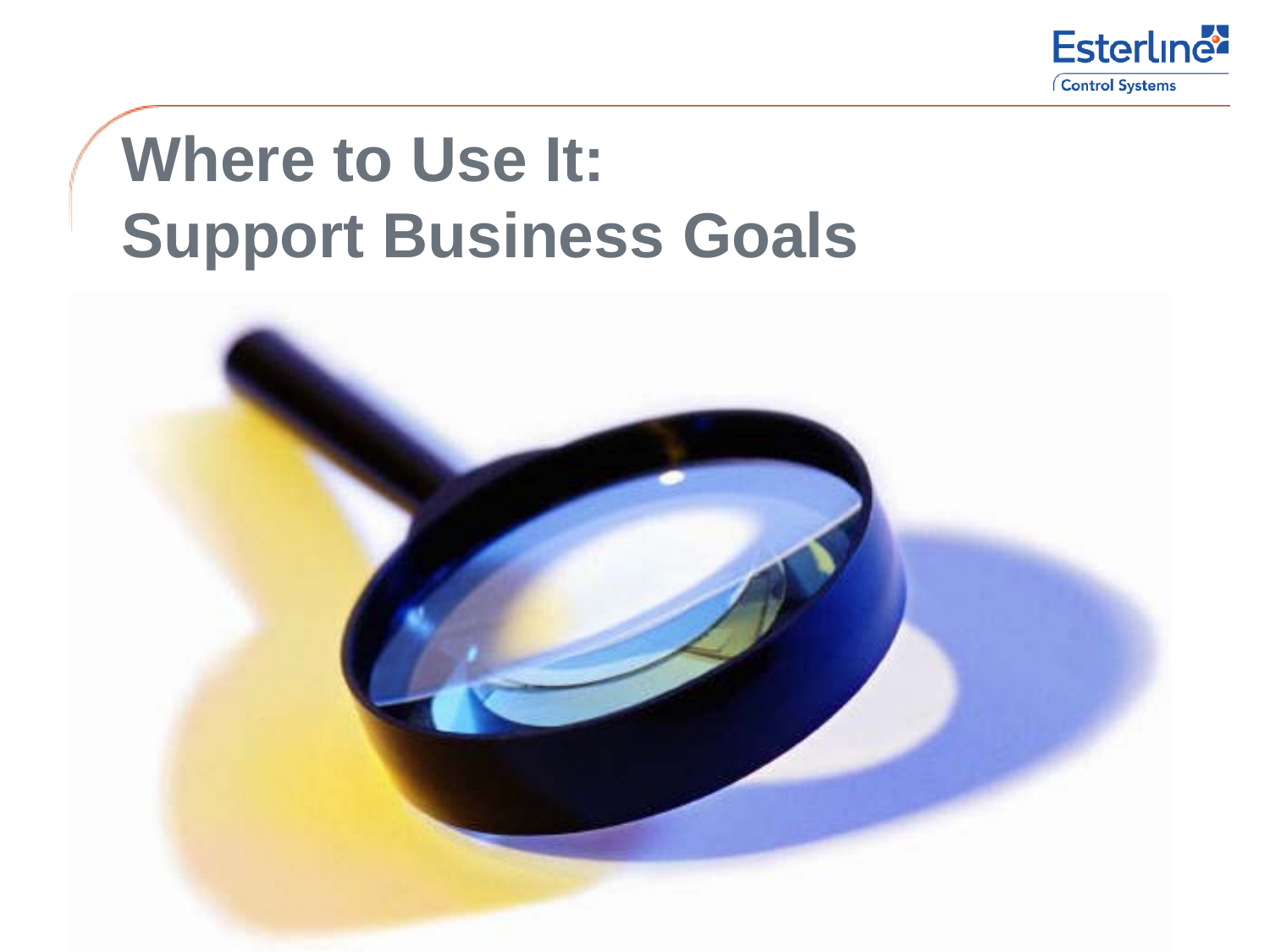

### **Where to Use It: Support Business Goals**

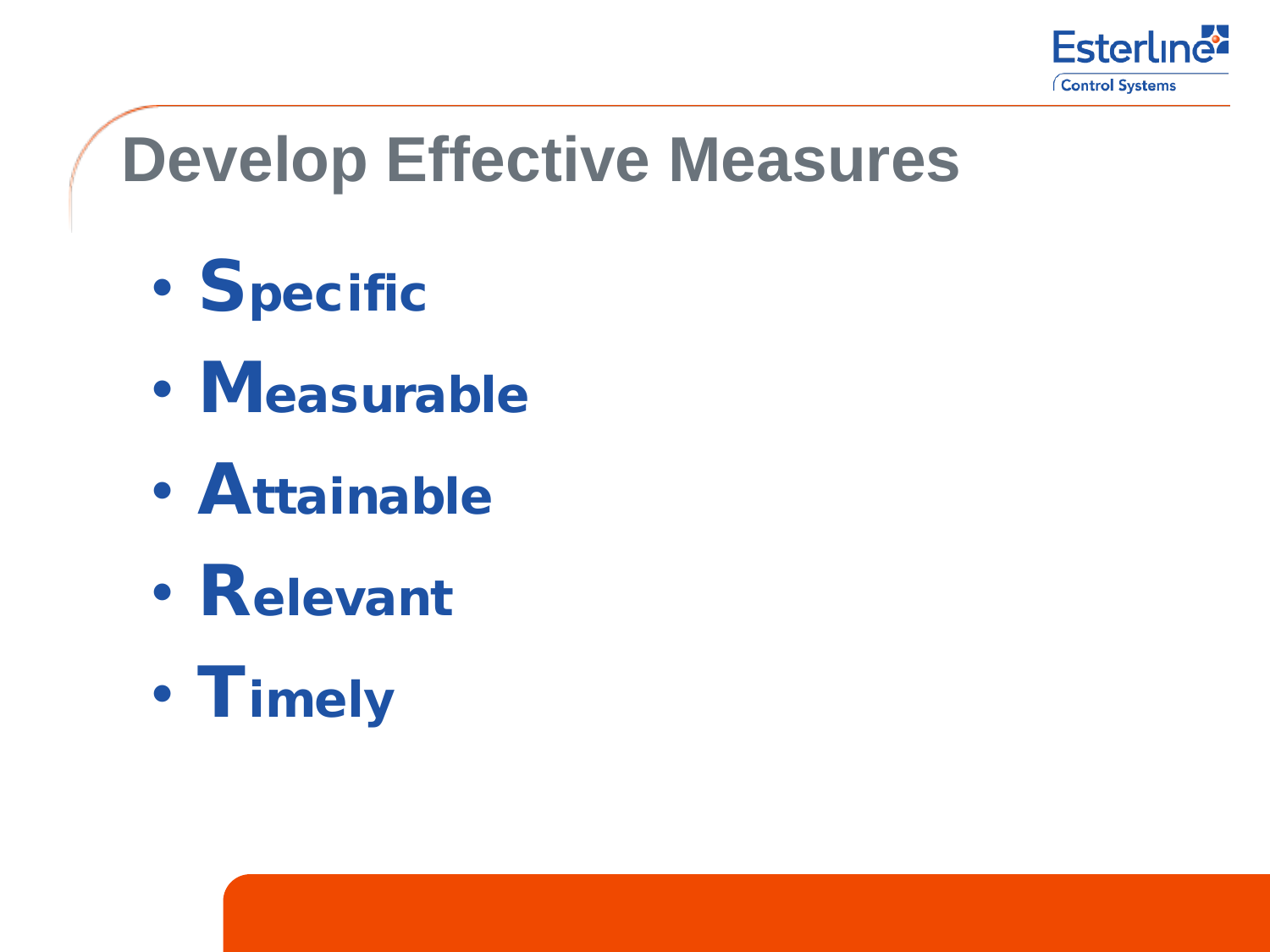

### **Develop Effective Measures**

- Specific
- Measurable
- Attainable
- Relevant
- Timely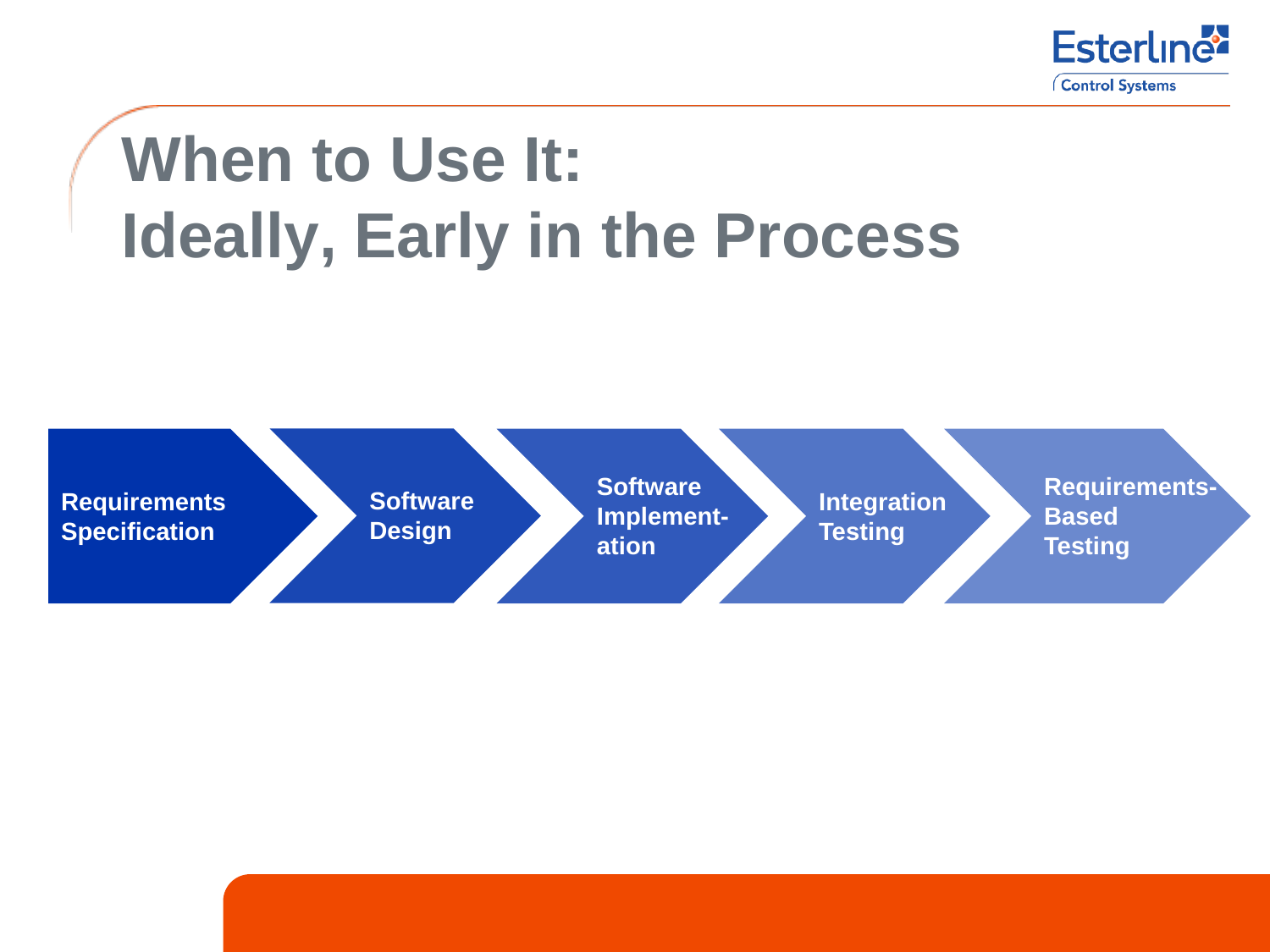

### **When to Use It: Ideally, Early in the Process**

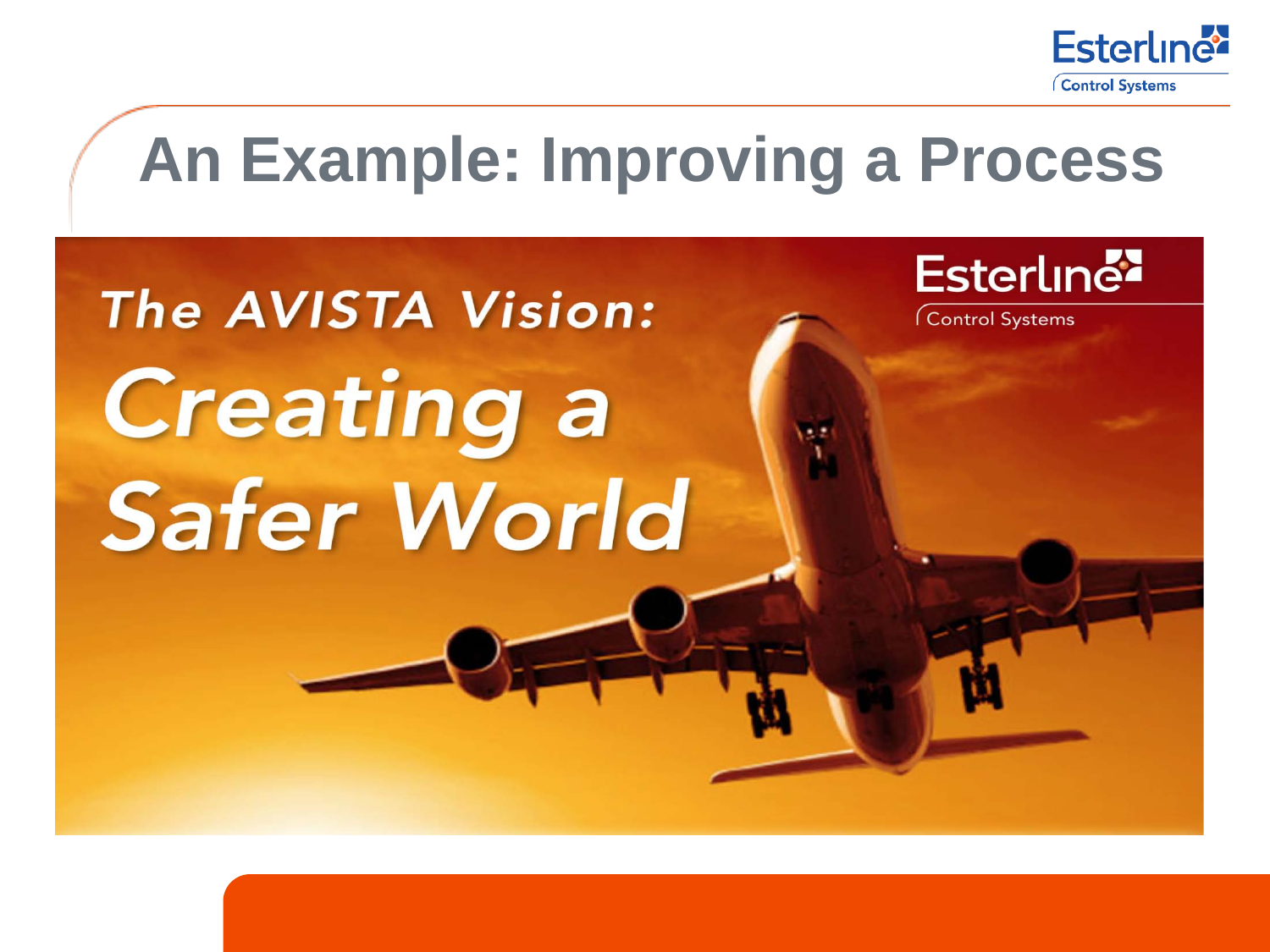

**Esterline** 

Control Systems

### **An Example: Improving a Process**

# The AVISTA Vision: **Creating a Safer World**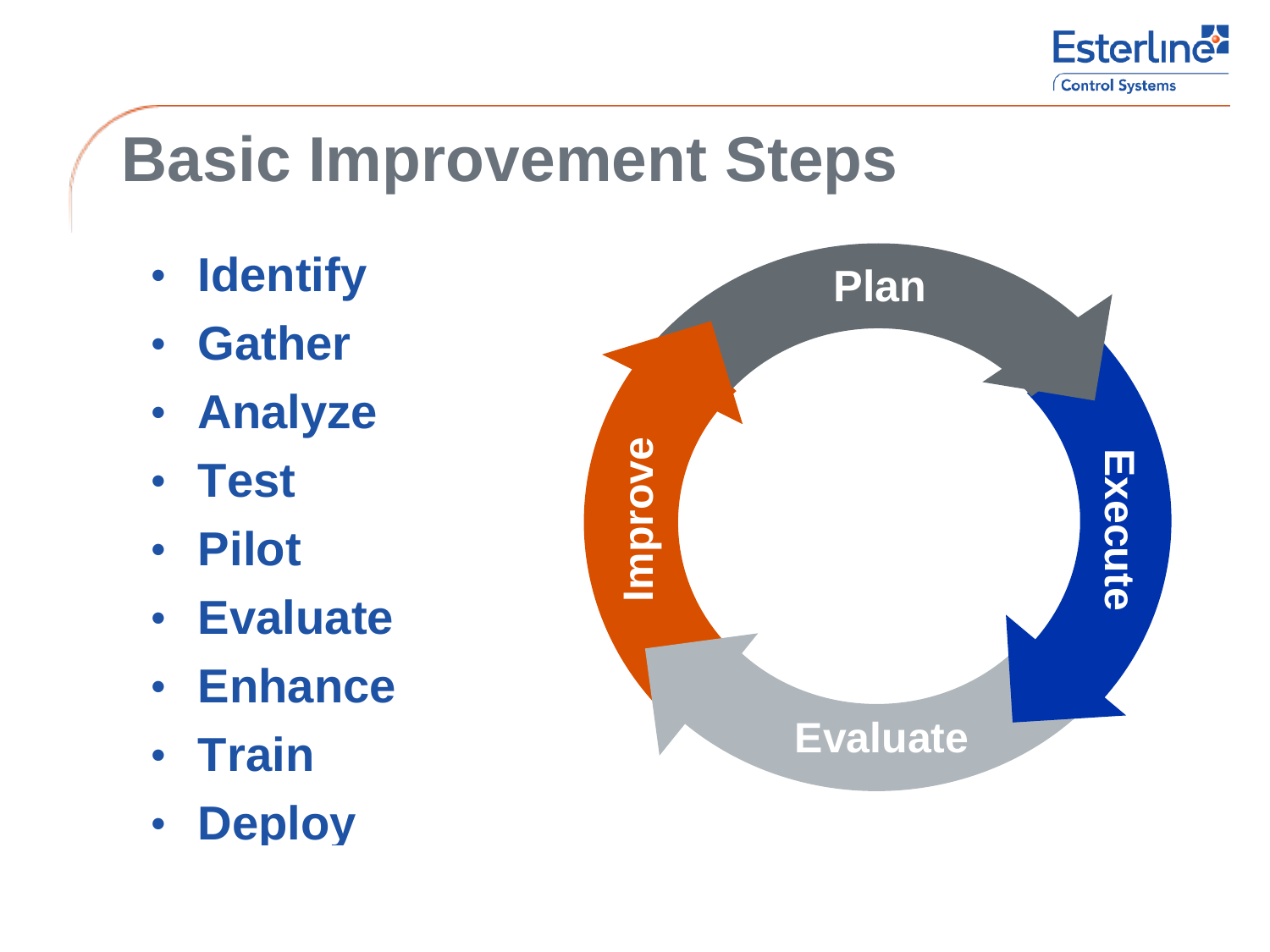

# **Basic Improvement Steps**

- **Identify**
- **Gather**
- **Analyze**
- **Test**
- **Pilot**
- **Evaluate**
- **Enhance**
- **Train**
- **Deploy**

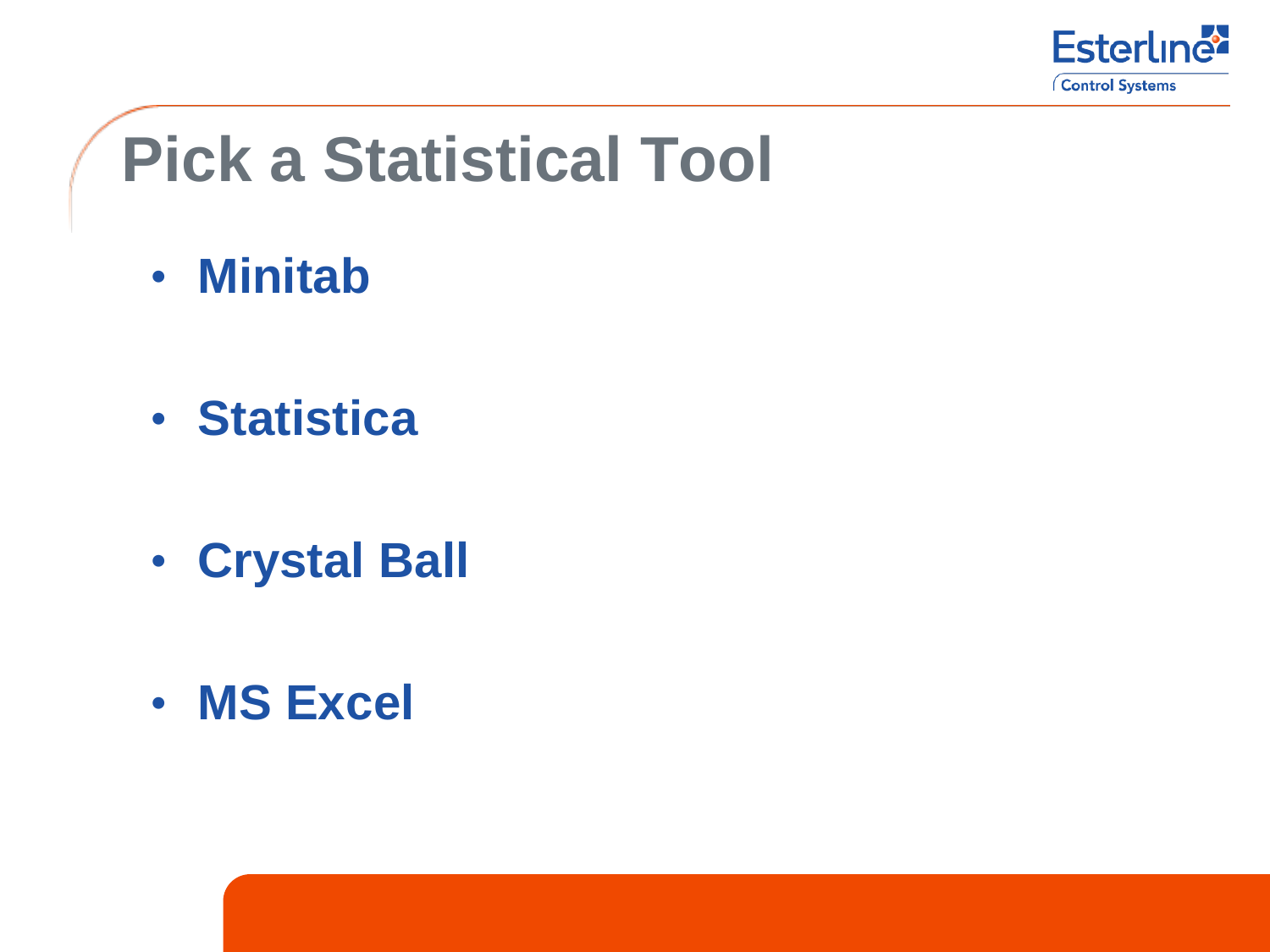

### **Pick a Statistical Tool**

- **Minitab**
- **Statistica**
- **Crystal Ball**
- **MS Excel**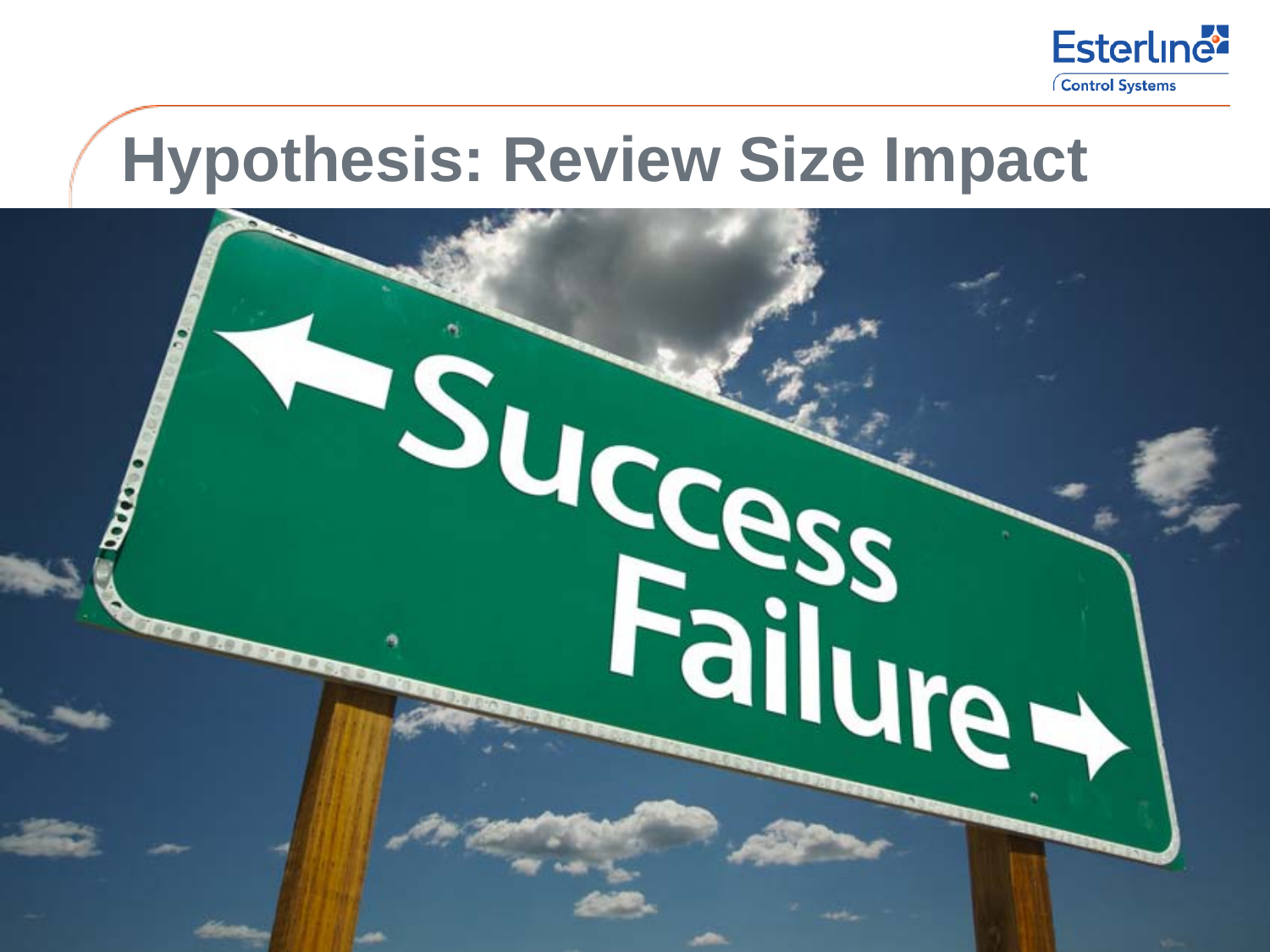

#### **Hypothesis: Review Size Impact**

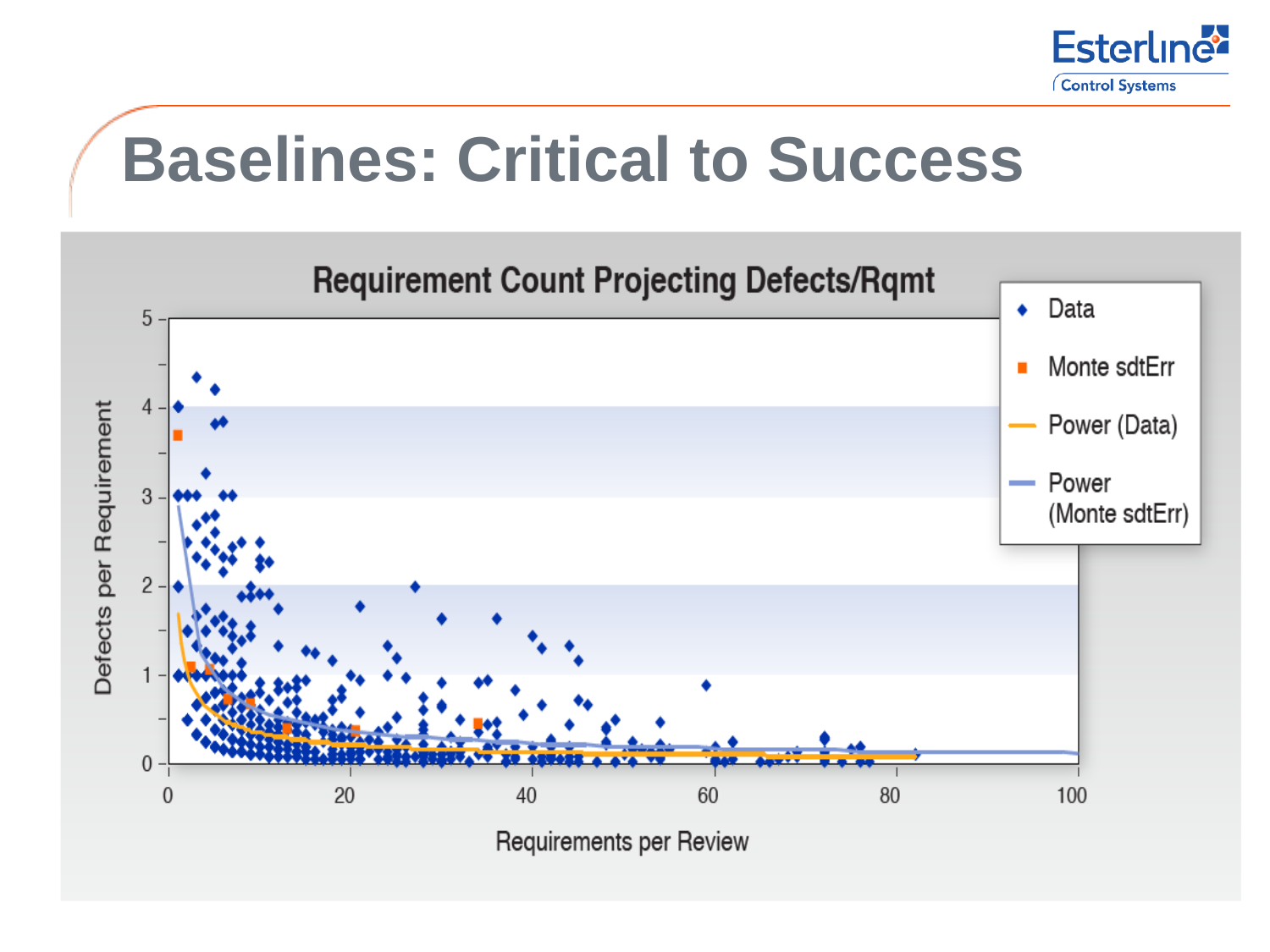

#### **Baselines: Critical to Success**

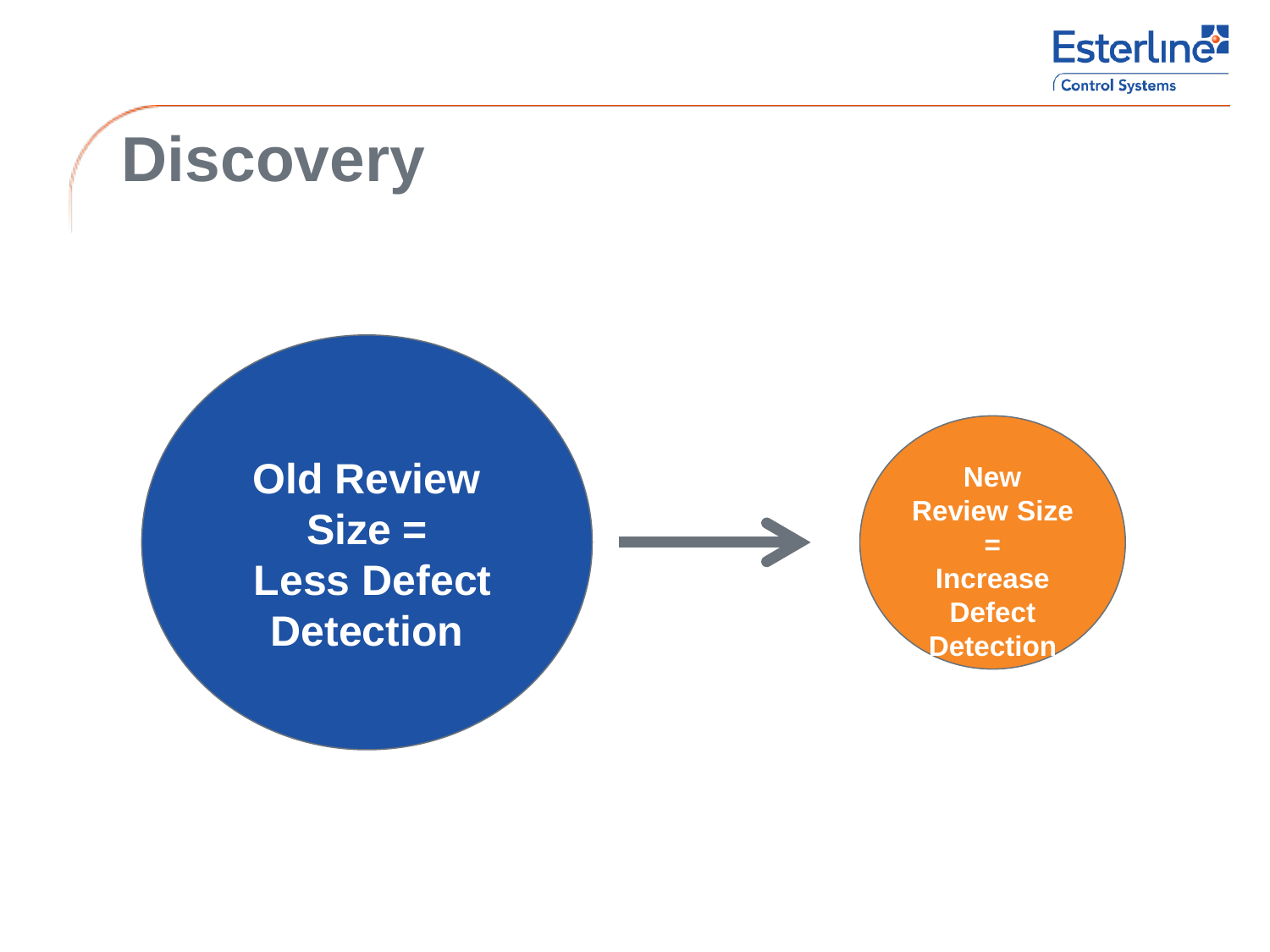

### **Discovery**

**Old Review Size = Less Defect Detection**

**New Review Size = Increase Defect Detection**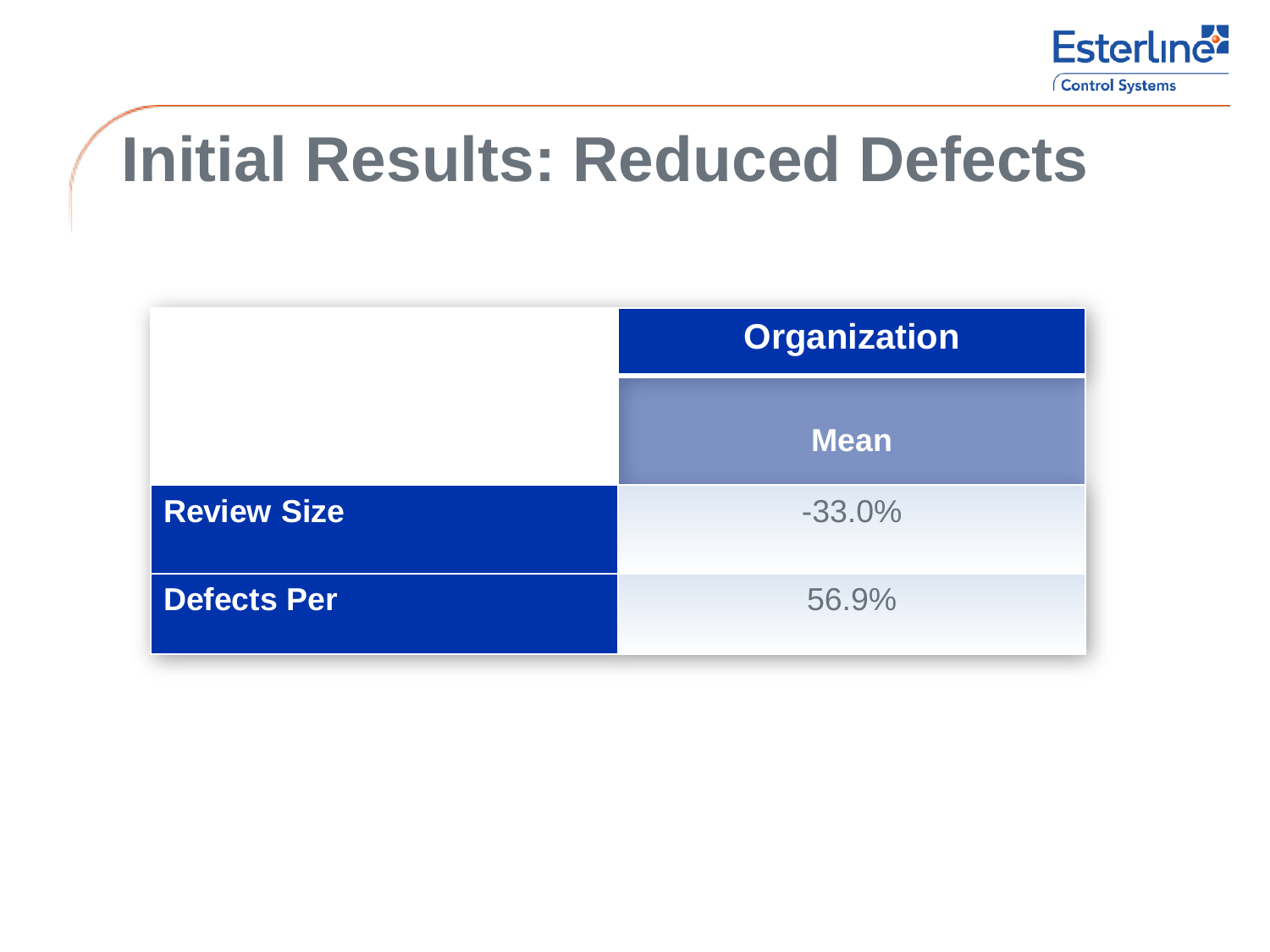

#### **Initial Results: Reduced Defects**

|                    | <b>Organization</b> |
|--------------------|---------------------|
|                    | <b>Mean</b>         |
| <b>Review Size</b> | $-33.0%$            |
| Defects Per        | 56.9%               |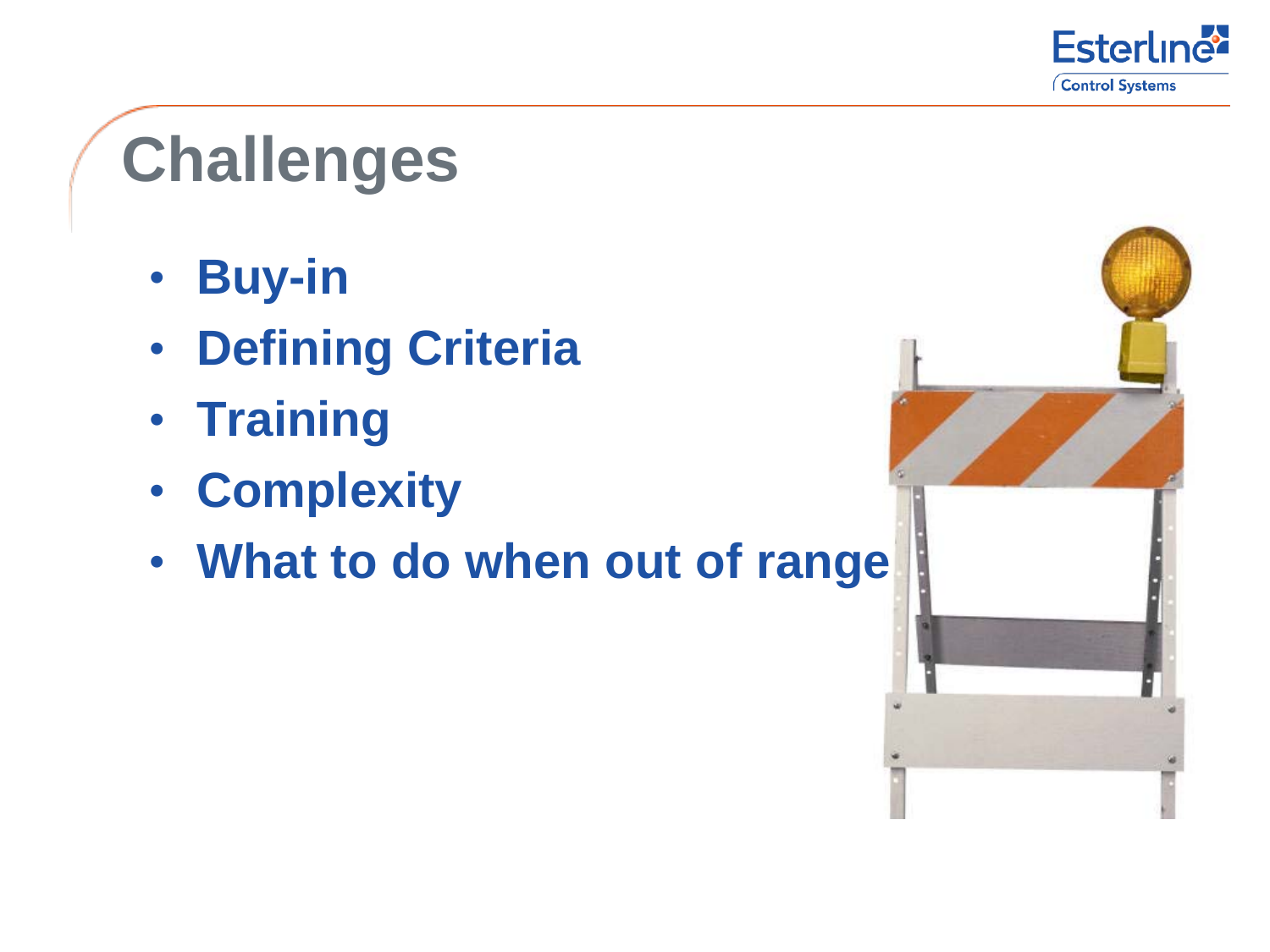

## **Challenges**

- **Buy-in**
- **Defining Criteria**
- **Training**
- **Complexity**
- **What to do when out of range**

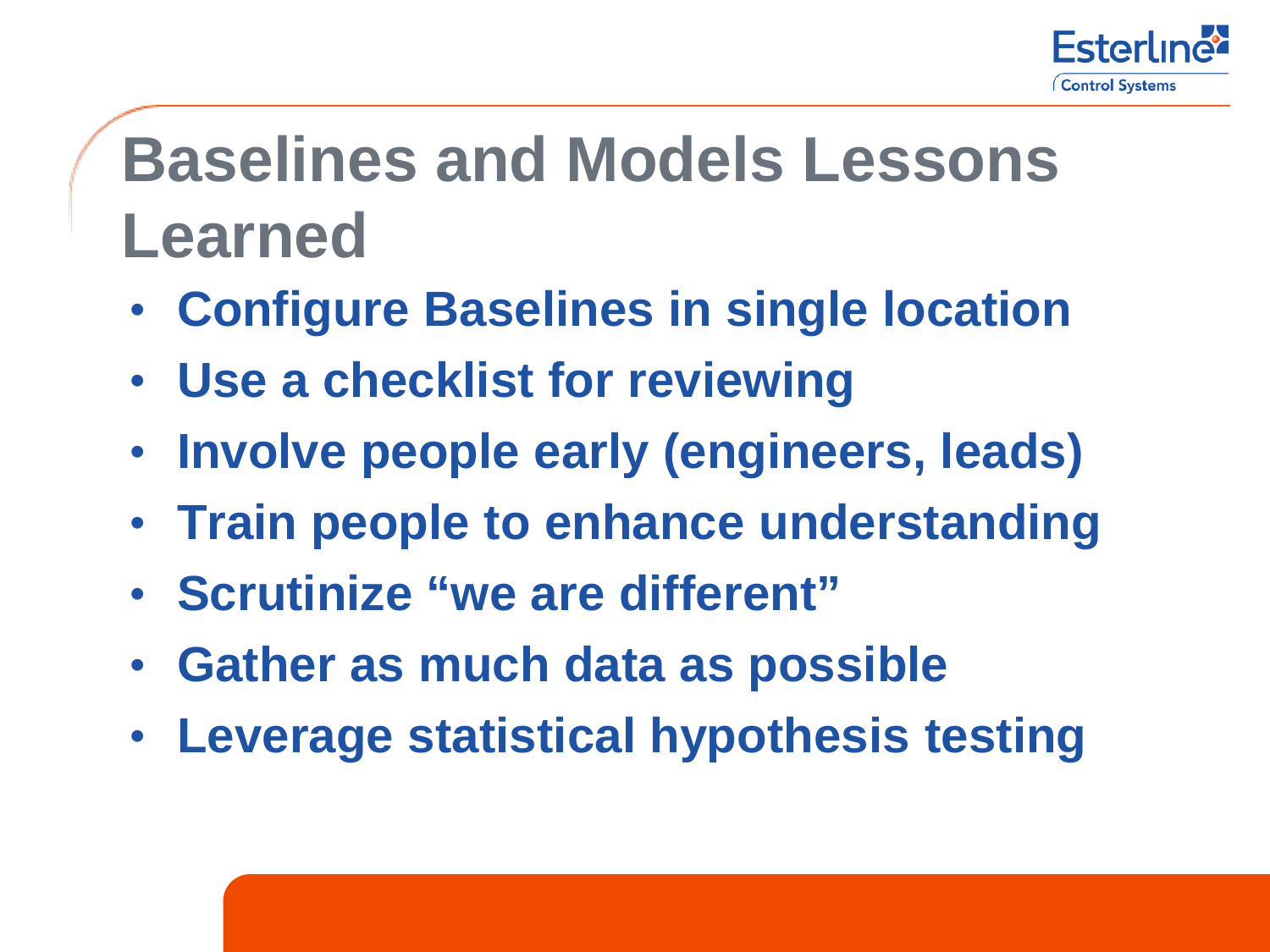

### **Baselines and Models Lessons Learned**

- **Configure Baselines in single location**
- **Use a checklist for reviewing**
- **Involve people early (engineers, leads)**
- **Train people to enhance understanding**
- **Scrutinize "we are different"**

- **Gather as much data as possible**
- **Leverage statistical hypothesis testing**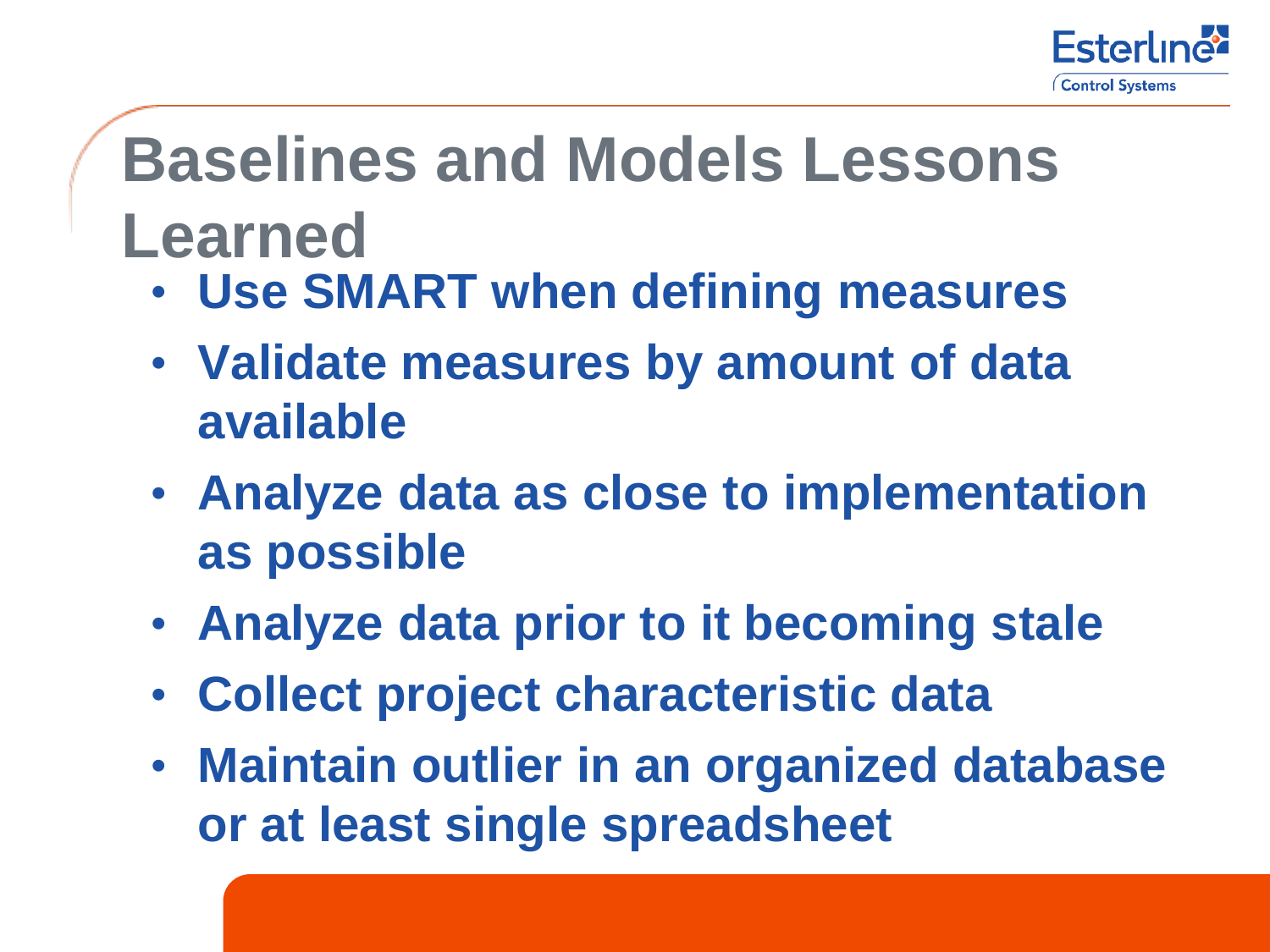

### **Baselines and Models Lessons Learned**

- **Use SMART when defining measures**
- **Validate measures by amount of data available**
- **Analyze data as close to implementation as possible**
- **Analyze data prior to it becoming stale**
- **Collect project characteristic data**

Esterline Control Systems

• **Maintain outlier in an organized database or at least single spreadsheet**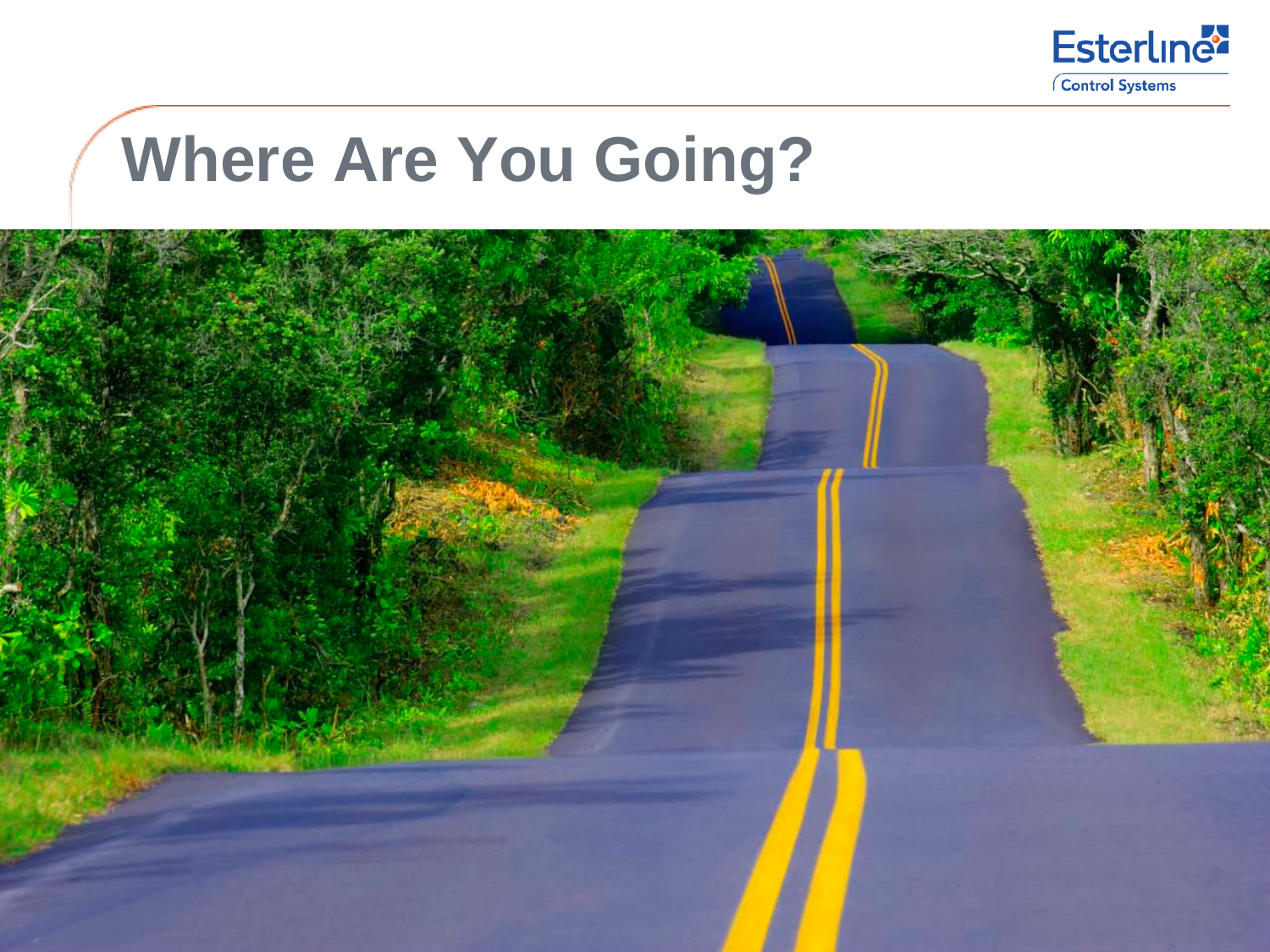

#### **Where Are You Going?**

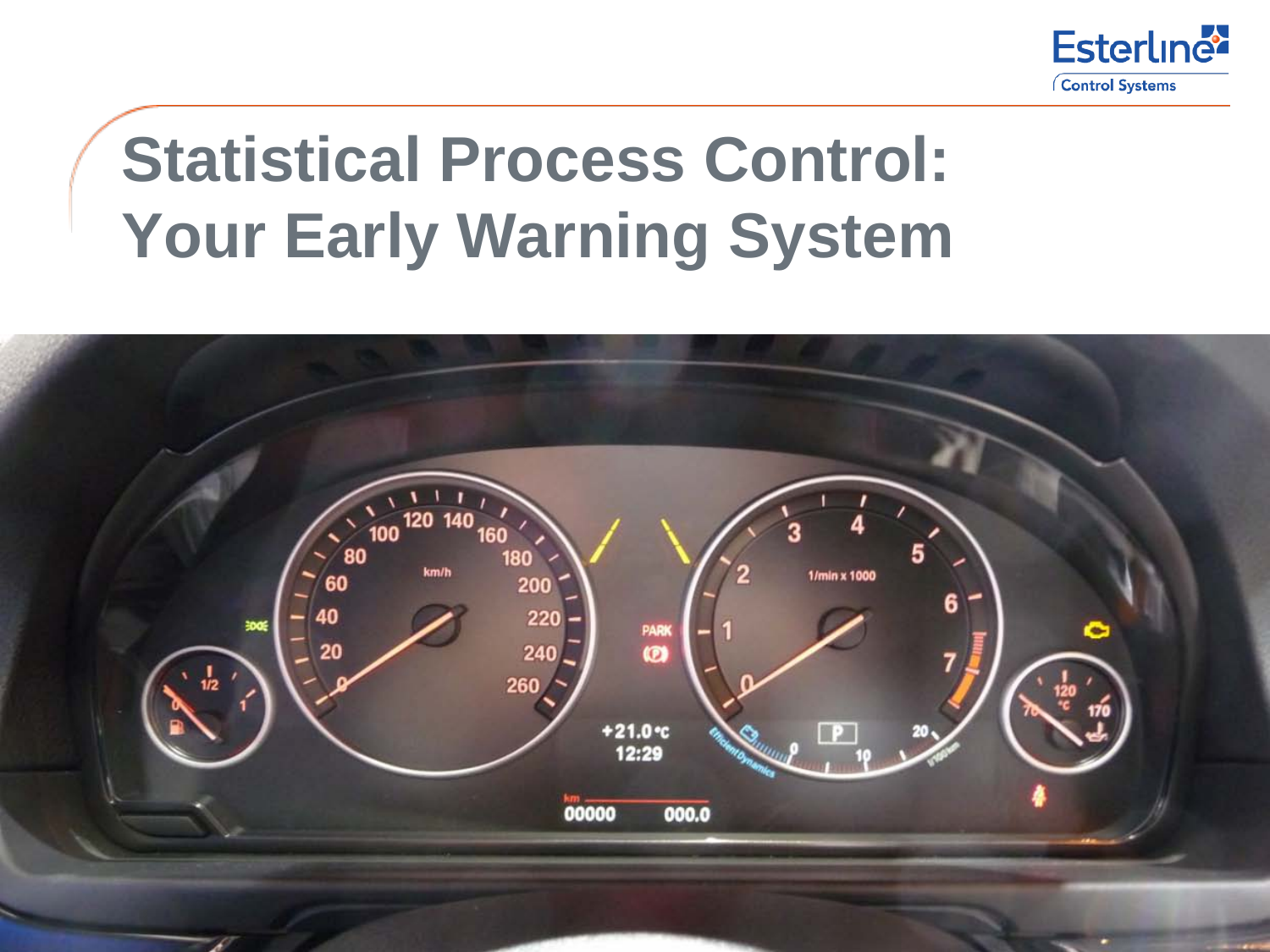

### **Statistical Process Control: Your Early Warning System**